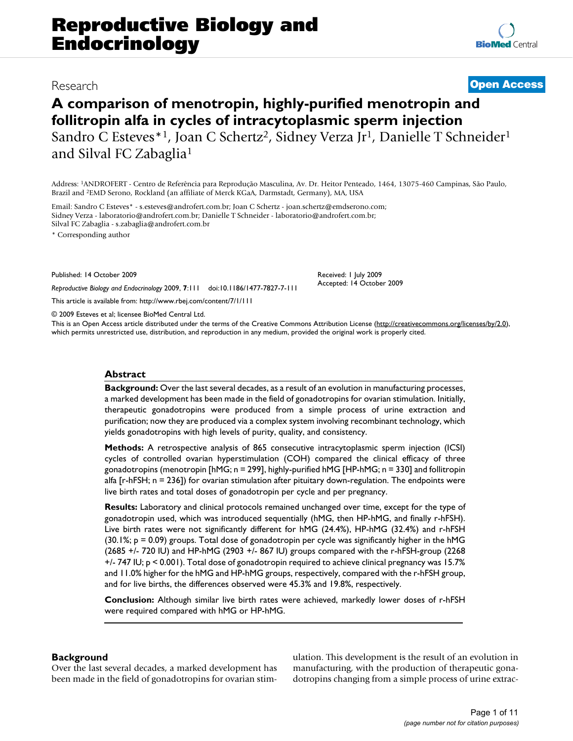# Research **[Open Access](http://www.biomedcentral.com/info/about/charter/)**

**[BioMed](http://www.biomedcentral.com/)** Central

# **A comparison of menotropin, highly-purified menotropin and follitropin alfa in cycles of intracytoplasmic sperm injection** Sandro C Esteves<sup>\*1</sup>, Joan C Schertz<sup>2</sup>, Sidney Verza Jr<sup>1</sup>, Danielle T Schneider<sup>1</sup> and Silval FC Zabaglia1

Address: 1ANDROFERT - Centro de Referência para Reprodução Masculina, Av. Dr. Heitor Penteado, 1464, 13075-460 Campinas, São Paulo, Brazil and 2EMD Serono, Rockland (an affiliate of Merck KGaA, Darmstadt, Germany), MA, USA

Email: Sandro C Esteves\* - s.esteves@androfert.com.br; Joan C Schertz - joan.schertz@emdserono.com; Sidney Verza - laboratorio@androfert.com.br; Danielle T Schneider - laboratorio@androfert.com.br; Silval FC Zabaglia - s.zabaglia@androfert.com.br

\* Corresponding author

Published: 14 October 2009

*Reproductive Biology and Endocrinology* 2009, **7**:111 doi:10.1186/1477-7827-7-111

[This article is available from: http://www.rbej.com/content/7/1/111](http://www.rbej.com/content/7/1/111)

© 2009 Esteves et al; licensee BioMed Central Ltd.

This is an Open Access article distributed under the terms of the Creative Commons Attribution License [\(http://creativecommons.org/licenses/by/2.0\)](http://creativecommons.org/licenses/by/2.0), which permits unrestricted use, distribution, and reproduction in any medium, provided the original work is properly cited.

Received: 1 July 2009 Accepted: 14 October 2009

#### **Abstract**

**Background:** Over the last several decades, as a result of an evolution in manufacturing processes, a marked development has been made in the field of gonadotropins for ovarian stimulation. Initially, therapeutic gonadotropins were produced from a simple process of urine extraction and purification; now they are produced via a complex system involving recombinant technology, which yields gonadotropins with high levels of purity, quality, and consistency.

**Methods:** A retrospective analysis of 865 consecutive intracytoplasmic sperm injection (ICSI) cycles of controlled ovarian hyperstimulation (COH) compared the clinical efficacy of three gonadotropins (menotropin [hMG; n = 299], highly-purified hMG [HP-hMG; n = 330] and follitropin alfa [r-hFSH; n = 236]) for ovarian stimulation after pituitary down-regulation. The endpoints were live birth rates and total doses of gonadotropin per cycle and per pregnancy.

**Results:** Laboratory and clinical protocols remained unchanged over time, except for the type of gonadotropin used, which was introduced sequentially (hMG, then HP-hMG, and finally r-hFSH). Live birth rates were not significantly different for hMG (24.4%), HP-hMG (32.4%) and r-hFSH  $(30.1\%)$ ; p = 0.09) groups. Total dose of gonadotropin per cycle was significantly higher in the hMG (2685 +/- 720 IU) and HP-hMG (2903 +/- 867 IU) groups compared with the r-hFSH-group (2268 +/- 747 IU; p < 0.001). Total dose of gonadotropin required to achieve clinical pregnancy was 15.7% and 11.0% higher for the hMG and HP-hMG groups, respectively, compared with the r-hFSH group, and for live births, the differences observed were 45.3% and 19.8%, respectively.

**Conclusion:** Although similar live birth rates were achieved, markedly lower doses of r-hFSH were required compared with hMG or HP-hMG.

# **Background**

Over the last several decades, a marked development has been made in the field of gonadotropins for ovarian stimulation. This development is the result of an evolution in manufacturing, with the production of therapeutic gonadotropins changing from a simple process of urine extrac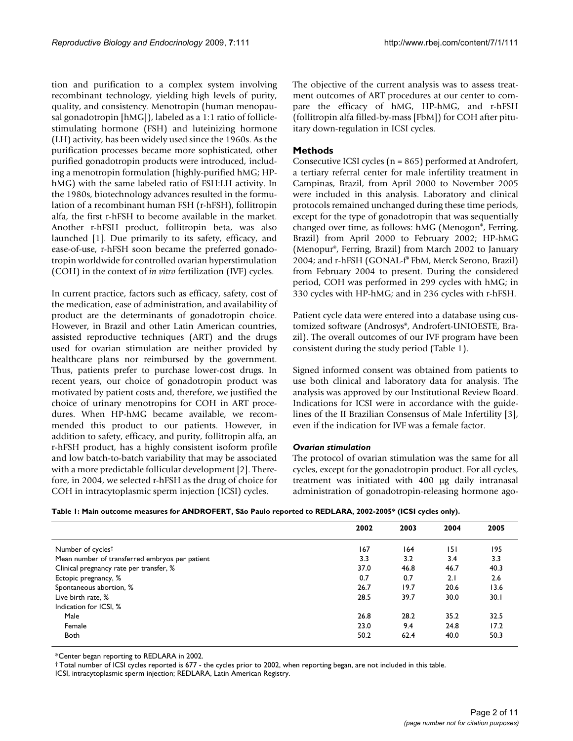tion and purification to a complex system involving recombinant technology, yielding high levels of purity, quality, and consistency. Menotropin (human menopausal gonadotropin [hMG]), labeled as a 1:1 ratio of folliclestimulating hormone (FSH) and luteinizing hormone (LH) activity, has been widely used since the 1960s. As the purification processes became more sophisticated, other purified gonadotropin products were introduced, including a menotropin formulation (highly-purified hMG; HPhMG) with the same labeled ratio of FSH:LH activity. In the 1980s, biotechnology advances resulted in the formulation of a recombinant human FSH (r-hFSH), follitropin alfa, the first r-hFSH to become available in the market. Another r-hFSH product, follitropin beta, was also launched [1]. Due primarily to its safety, efficacy, and ease-of-use, r-hFSH soon became the preferred gonadotropin worldwide for controlled ovarian hyperstimulation (COH) in the context of *in vitro* fertilization (IVF) cycles.

In current practice, factors such as efficacy, safety, cost of the medication, ease of administration, and availability of product are the determinants of gonadotropin choice. However, in Brazil and other Latin American countries, assisted reproductive techniques (ART) and the drugs used for ovarian stimulation are neither provided by healthcare plans nor reimbursed by the government. Thus, patients prefer to purchase lower-cost drugs. In recent years, our choice of gonadotropin product was motivated by patient costs and, therefore, we justified the choice of urinary menotropins for COH in ART procedures. When HP-hMG became available, we recommended this product to our patients. However, in addition to safety, efficacy, and purity, follitropin alfa, an r-hFSH product, has a highly consistent isoform profile and low batch-to-batch variability that may be associated with a more predictable follicular development [2]. Therefore, in 2004, we selected r-hFSH as the drug of choice for COH in intracytoplasmic sperm injection (ICSI) cycles.

The objective of the current analysis was to assess treatment outcomes of ART procedures at our center to compare the efficacy of hMG, HP-hMG, and r-hFSH (follitropin alfa filled-by-mass [FbM]) for COH after pituitary down-regulation in ICSI cycles.

# **Methods**

Consecutive ICSI cycles (n = 865) performed at Androfert, a tertiary referral center for male infertility treatment in Campinas, Brazil, from April 2000 to November 2005 were included in this analysis. Laboratory and clinical protocols remained unchanged during these time periods, except for the type of gonadotropin that was sequentially changed over time, as follows: hMG (Menogon®, Ferring, Brazil) from April 2000 to February 2002; HP-hMG (Menopur®, Ferring, Brazil) from March 2002 to January 2004; and r-hFSH (GONAL-f® FbM, Merck Serono, Brazil) from February 2004 to present. During the considered period, COH was performed in 299 cycles with hMG; in 330 cycles with HP-hMG; and in 236 cycles with r-hFSH.

Patient cycle data were entered into a database using customized software (Androsys®, Androfert-UNIOESTE, Brazil). The overall outcomes of our IVF program have been consistent during the study period (Table 1).

Signed informed consent was obtained from patients to use both clinical and laboratory data for analysis. The analysis was approved by our Institutional Review Board. Indications for ICSI were in accordance with the guidelines of the II Brazilian Consensus of Male Infertility [3], even if the indication for IVF was a female factor.

# *Ovarian stimulation*

The protocol of ovarian stimulation was the same for all cycles, except for the gonadotropin product. For all cycles, treatment was initiated with 400 μg daily intranasal administration of gonadotropin-releasing hormone ago-

| Table I: Main outcome measures for ANDROFERT, São Paulo reported to REDLARA, 2002-2005* (ICSI cycles only). |  |  |  |  |  |
|-------------------------------------------------------------------------------------------------------------|--|--|--|--|--|
|-------------------------------------------------------------------------------------------------------------|--|--|--|--|--|

|                                                | 2002 | 2003 | 2004 | 2005 |
|------------------------------------------------|------|------|------|------|
| Number of cycles <sup>†</sup>                  | 167  | 164  | 151  | 195  |
| Mean number of transferred embryos per patient | 3.3  | 3.2  | 3.4  | 3.3  |
| Clinical pregnancy rate per transfer, %        | 37.0 | 46.8 | 46.7 | 40.3 |
| Ectopic pregnancy, %                           | 0.7  | 0.7  | 2.1  | 2.6  |
| Spontaneous abortion, %                        | 26.7 | 19.7 | 20.6 | 13.6 |
| Live birth rate, %                             | 28.5 | 39.7 | 30.0 | 30.1 |
| Indication for ICSI, %                         |      |      |      |      |
| Male                                           | 26.8 | 28.2 | 35.2 | 32.5 |
| Female                                         | 23.0 | 9.4  | 24.8 | 17.2 |
| <b>Both</b>                                    | 50.2 | 62.4 | 40.0 | 50.3 |

\*Center began reporting to REDLARA in 2002.

† Total number of ICSI cycles reported is 677 - the cycles prior to 2002, when reporting began, are not included in this table.

ICSI, intracytoplasmic sperm injection; REDLARA, Latin American Registry.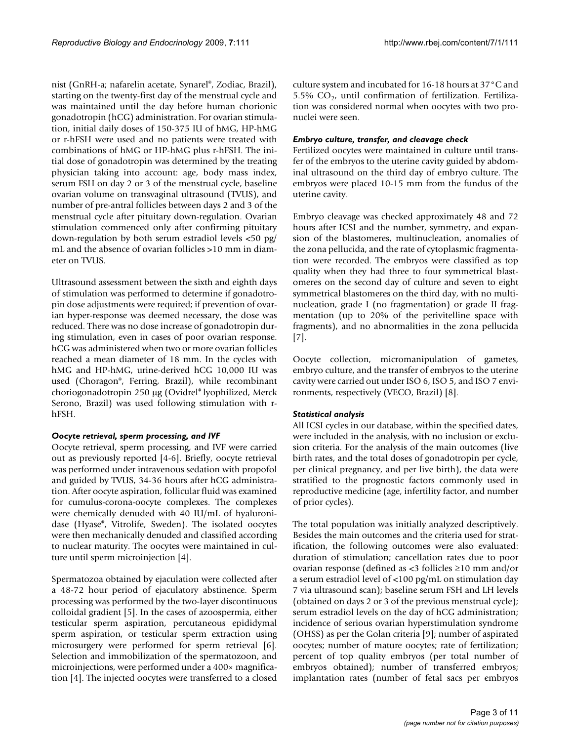nist (GnRH-a; nafarelin acetate, Synarel®, Zodiac, Brazil), starting on the twenty-first day of the menstrual cycle and was maintained until the day before human chorionic gonadotropin (hCG) administration. For ovarian stimulation, initial daily doses of 150-375 IU of hMG, HP-hMG or r-hFSH were used and no patients were treated with combinations of hMG or HP-hMG plus r-hFSH. The initial dose of gonadotropin was determined by the treating physician taking into account: age, body mass index, serum FSH on day 2 or 3 of the menstrual cycle, baseline ovarian volume on transvaginal ultrasound (TVUS), and number of pre-antral follicles between days 2 and 3 of the menstrual cycle after pituitary down-regulation. Ovarian stimulation commenced only after confirming pituitary down-regulation by both serum estradiol levels <50 pg/ mL and the absence of ovarian follicles >10 mm in diameter on TVUS.

Ultrasound assessment between the sixth and eighth days of stimulation was performed to determine if gonadotropin dose adjustments were required; if prevention of ovarian hyper-response was deemed necessary, the dose was reduced. There was no dose increase of gonadotropin during stimulation, even in cases of poor ovarian response. hCG was administered when two or more ovarian follicles reached a mean diameter of 18 mm. In the cycles with hMG and HP-hMG, urine-derived hCG 10,000 IU was used (Choragon®, Ferring, Brazil), while recombinant choriogonadotropin 250 μg (Ovidrel® lyophilized, Merck Serono, Brazil) was used following stimulation with rhFSH.

# *Oocyte retrieval, sperm processing, and IVF*

Oocyte retrieval, sperm processing, and IVF were carried out as previously reported [4-6]. Briefly, oocyte retrieval was performed under intravenous sedation with propofol and guided by TVUS, 34-36 hours after hCG administration. After oocyte aspiration, follicular fluid was examined for cumulus-corona-oocyte complexes. The complexes were chemically denuded with 40 IU/mL of hyaluronidase (Hyase®, Vitrolife, Sweden). The isolated oocytes were then mechanically denuded and classified according to nuclear maturity. The oocytes were maintained in culture until sperm microinjection [4].

Spermatozoa obtained by ejaculation were collected after a 48-72 hour period of ejaculatory abstinence. Sperm processing was performed by the two-layer discontinuous colloidal gradient [5]. In the cases of azoospermia, either testicular sperm aspiration, percutaneous epididymal sperm aspiration, or testicular sperm extraction using microsurgery were performed for sperm retrieval [6]. Selection and immobilization of the spermatozoon, and microinjections, were performed under a 400× magnification [4]. The injected oocytes were transferred to a closed

culture system and incubated for 16-18 hours at 37°C and 5.5%  $CO<sub>2</sub>$ , until confirmation of fertilization. Fertilization was considered normal when oocytes with two pronuclei were seen.

# *Embryo culture, transfer, and cleavage check*

Fertilized oocytes were maintained in culture until transfer of the embryos to the uterine cavity guided by abdominal ultrasound on the third day of embryo culture. The embryos were placed 10-15 mm from the fundus of the uterine cavity.

Embryo cleavage was checked approximately 48 and 72 hours after ICSI and the number, symmetry, and expansion of the blastomeres, multinucleation, anomalies of the zona pellucida, and the rate of cytoplasmic fragmentation were recorded. The embryos were classified as top quality when they had three to four symmetrical blastomeres on the second day of culture and seven to eight symmetrical blastomeres on the third day, with no multinucleation, grade I (no fragmentation) or grade II fragmentation (up to 20% of the perivitelline space with fragments), and no abnormalities in the zona pellucida [7].

Oocyte collection, micromanipulation of gametes, embryo culture, and the transfer of embryos to the uterine cavity were carried out under ISO 6, ISO 5, and ISO 7 environments, respectively (VECO, Brazil) [8].

# *Statistical analysis*

All ICSI cycles in our database, within the specified dates, were included in the analysis, with no inclusion or exclusion criteria. For the analysis of the main outcomes (live birth rates, and the total doses of gonadotropin per cycle, per clinical pregnancy, and per live birth), the data were stratified to the prognostic factors commonly used in reproductive medicine (age, infertility factor, and number of prior cycles).

The total population was initially analyzed descriptively. Besides the main outcomes and the criteria used for stratification, the following outcomes were also evaluated: duration of stimulation; cancellation rates due to poor ovarian response (defined as <3 follicles ≥10 mm and/or a serum estradiol level of <100 pg/mL on stimulation day 7 via ultrasound scan); baseline serum FSH and LH levels (obtained on days 2 or 3 of the previous menstrual cycle); serum estradiol levels on the day of hCG administration; incidence of serious ovarian hyperstimulation syndrome (OHSS) as per the Golan criteria [9]; number of aspirated oocytes; number of mature oocytes; rate of fertilization; percent of top quality embryos (per total number of embryos obtained); number of transferred embryos; implantation rates (number of fetal sacs per embryos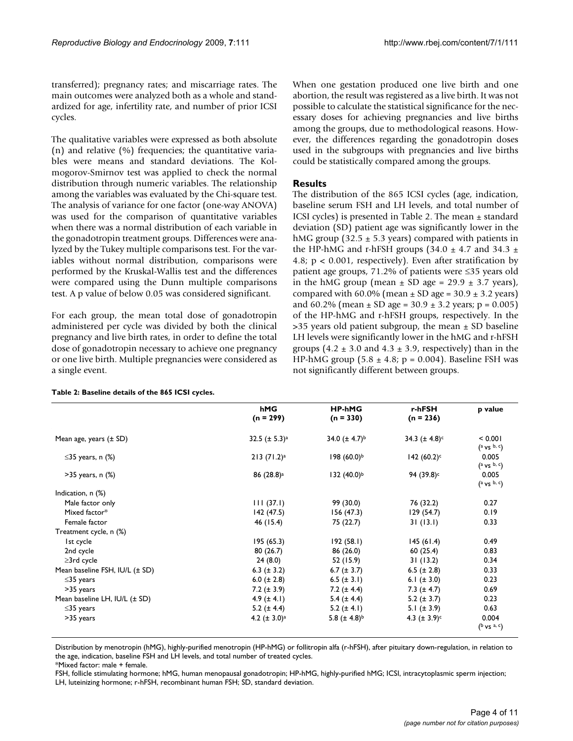transferred); pregnancy rates; and miscarriage rates. The main outcomes were analyzed both as a whole and standardized for age, infertility rate, and number of prior ICSI cycles.

The qualitative variables were expressed as both absolute (n) and relative (%) frequencies; the quantitative variables were means and standard deviations. The Kolmogorov-Smirnov test was applied to check the normal distribution through numeric variables. The relationship among the variables was evaluated by the Chi-square test. The analysis of variance for one factor (one-way ANOVA) was used for the comparison of quantitative variables when there was a normal distribution of each variable in the gonadotropin treatment groups. Differences were analyzed by the Tukey multiple comparisons test. For the variables without normal distribution, comparisons were performed by the Kruskal-Wallis test and the differences were compared using the Dunn multiple comparisons test. A p value of below 0.05 was considered significant.

For each group, the mean total dose of gonadotropin administered per cycle was divided by both the clinical pregnancy and live birth rates, in order to define the total dose of gonadotropin necessary to achieve one pregnancy or one live birth. Multiple pregnancies were considered as a single event.

**Table 2: Baseline details of the 865 ICSI cycles.**

When one gestation produced one live birth and one abortion, the result was registered as a live birth. It was not possible to calculate the statistical significance for the necessary doses for achieving pregnancies and live births among the groups, due to methodological reasons. However, the differences regarding the gonadotropin doses used in the subgroups with pregnancies and live births could be statistically compared among the groups.

# **Results**

The distribution of the 865 ICSI cycles (age, indication, baseline serum FSH and LH levels, and total number of ICSI cycles) is presented in Table 2. The mean  $\pm$  standard deviation (SD) patient age was significantly lower in the hMG group (32.5  $\pm$  5.3 years) compared with patients in the HP-hMG and r-hFSH groups (34.0  $\pm$  4.7 and 34.3  $\pm$ 4.8; p < 0.001, respectively). Even after stratification by patient age groups, 71.2% of patients were ≤35 years old in the hMG group (mean  $\pm$  SD age = 29.9  $\pm$  3.7 years), compared with 60.0% (mean  $\pm$  SD age = 30.9  $\pm$  3.2 years) and  $60.2\%$  (mean  $\pm$  SD age =  $30.9 \pm 3.2$  years; p = 0.005) of the HP-hMG and r-hFSH groups, respectively. In the  $>$ 35 years old patient subgroup, the mean  $\pm$  SD baseline LH levels were significantly lower in the hMG and r-hFSH groups  $(4.2 \pm 3.0 \text{ and } 4.3 \pm 3.9)$ , respectively) than in the HP-hMG group  $(5.8 \pm 4.8; p = 0.004)$ . Baseline FSH was not significantly different between groups.

|                                | hMG<br>$(n = 299)$     | <b>HP-hMG</b><br>$(n = 330)$ | r-hFSH<br>$(n = 236)$  | p value                        |
|--------------------------------|------------------------|------------------------------|------------------------|--------------------------------|
| Mean age, years $(\pm SD)$     | 32.5 $(\pm 5.3)^a$     | 34.0 $(\pm 4.7)^{b}$         | 34.3 $(\pm 4.8)^c$     | < 0.001<br>$(a \vee s \nb, c)$ |
| $\leq$ 35 years, n (%)         | $213 (71.2)^a$         | $198(60.0)^{b}$              | 142 $(60.2)^c$         | 0.005<br>(a vs b, c)           |
| $>35$ years, n $(\%)$          | 86 (28.8) <sup>a</sup> | $132 (40.0)^{b}$             | 94 (39.8) <sup>c</sup> | 0.005<br>$(a \vee s \nb, c)$   |
| Indication, n (%)              |                        |                              |                        |                                |
| Male factor only               | 111(37.1)              | 99 (30.0)                    | 76 (32.2)              | 0.27                           |
| Mixed factor*                  | 142(47.5)              | 156 (47.3)                   | 129(54.7)              | 0.19                           |
| Female factor                  | 46 (15.4)              | 75 (22.7)                    | 31(13.1)               | 0.33                           |
| Treatment cycle, n (%)         |                        |                              |                        |                                |
| Ist cycle                      | 195(65.3)              | 192(58.1)                    | 145(61.4)              | 0.49                           |
| 2nd cycle                      | 80(26.7)               | 86 (26.0)                    | 60(25.4)               | 0.83                           |
| $\geq$ 3rd cycle               | 24(8.0)                | 52 (15.9)                    | 31(13.2)               | 0.34                           |
| Mean baseline FSH, IU/L (± SD) | 6.3 $(\pm 3.2)$        | 6.7 $(\pm 3.7)$              | 6.5 $(\pm 2.8)$        | 0.33                           |
| $\leq$ 35 years                | 6.0 $(\pm 2.8)$        | 6.5 $(\pm 3.1)$              | 6.1 $(\pm 3.0)$        | 0.23                           |
| >35 years                      | 7.2 $(\pm 3.9)$        | 7.2 $(\pm 4.4)$              | 7.3 $(\pm 4.7)$        | 0.69                           |
| Mean baseline LH, IU/L (± SD)  | 4.9 $(\pm 4.1)$        | 5.4 $(\pm 4.4)$              | 5.2 $(\pm 3.7)$        | 0.23                           |
| $\leq$ 35 years                | 5.2 $(\pm 4.4)$        | 5.2 $(\pm 4.1)$              | 5.1 $(\pm 3.9)$        | 0.63                           |
| >35 years                      | 4.2 $(\pm 3.0)^a$      | 5.8 $(\pm 4.8)^{b}$          | 4.3 $(\pm 3.9)^c$      | 0.004<br>$(b \vee s a, c)$     |

Distribution by menotropin (hMG), highly-purified menotropin (HP-hMG) or follitropin alfa (r-hFSH), after pituitary down-regulation, in relation to the age, indication, baseline FSH and LH levels, and total number of treated cycles. \*Mixed factor: male + female.

FSH, follicle stimulating hormone; hMG, human menopausal gonadotropin; HP-hMG, highly-purified hMG; ICSI, intracytoplasmic sperm injection; LH, luteinizing hormone; r-hFSH, recombinant human FSH; SD, standard deviation.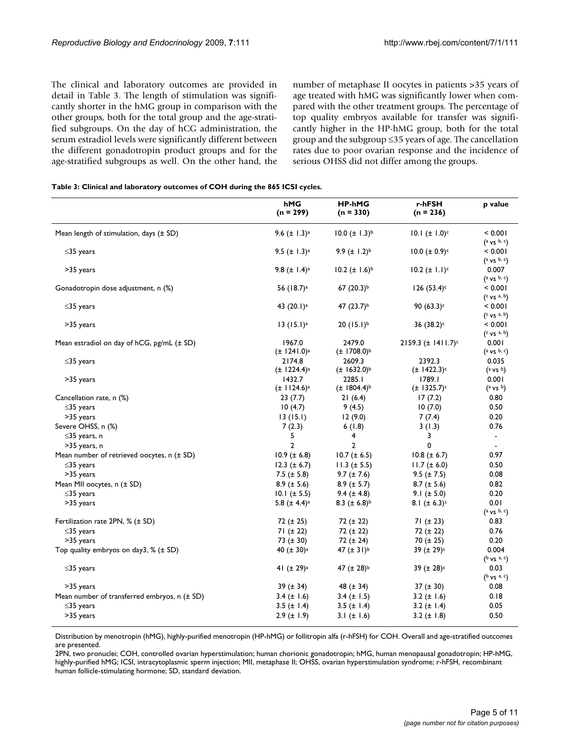The clinical and laboratory outcomes are provided in detail in Table 3. The length of stimulation was significantly shorter in the hMG group in comparison with the other groups, both for the total group and the age-stratified subgroups. On the day of hCG administration, the serum estradiol levels were significantly different between the different gonadotropin product groups and for the age-stratified subgroups as well. On the other hand, the number of metaphase II oocytes in patients >35 years of age treated with hMG was significantly lower when compared with the other treatment groups. The percentage of top quality embryos available for transfer was significantly higher in the HP-hMG group, both for the total group and the subgroup ≤35 years of age. The cancellation rates due to poor ovarian response and the incidence of serious OHSS did not differ among the groups.

#### **Table 3: Clinical and laboratory outcomes of COH during the 865 ICSI cycles.**

|                                                       | hMG<br>$(n = 299)$           | <b>HP-hMG</b><br>$(n = 330)$ | r-hFSH<br>$(n = 236)$     | p value                          |
|-------------------------------------------------------|------------------------------|------------------------------|---------------------------|----------------------------------|
| Mean length of stimulation, days $(\pm SD)$           | 9.6 $(\pm$ 1.3) <sup>a</sup> | $10.0 \ (\pm 1.3)^{b}$       | $10.1 (± 1.0)^c$          | < 0.001                          |
| $\leq$ 35 years                                       | 9.5 $(\pm$ 1.3) <sup>a</sup> | 9.9 $(\pm 1.2)^{b}$          | $10.0 \ (\pm 0.9)^c$      | $(a \vee s \nb, c)$<br>< 0.001   |
|                                                       |                              |                              |                           | $(a \vee s \cdot b, c)$          |
| >35 years                                             | 9.8 $(\pm$ 1.4) <sup>a</sup> | $10.2 (\pm 1.6)^{b}$         | $10.2 (\pm 1.1)^c$        | 0.007<br>$(a \vee s \nb, c)$     |
| Gonadotropin dose adjustment, n (%)                   | 56 (18.7) <sup>a</sup>       | 67 (20.3) <sup>b</sup>       | $126 (53.4)$ c            | < 0.001<br>(c vs a, b)           |
| $\leq$ 35 years                                       | 43 (20.1) <sup>a</sup>       | 47 $(23.7)^{b}$              | 90 $(63.3)^c$             | < 0.001<br>(c vs a, b)           |
| >35 years                                             | $13 (15.1)^a$                | $20 (15.1)^b$                | 36 (38.2) <sup>c</sup>    | < 0.001<br>(c vs a, b)           |
| Mean estradiol on day of $hCG$ , $pg/mL$ ( $\pm SD$ ) | 1967.0<br>$(\pm 1241.0)^a$   | 2479.0<br>$(\pm 1708.0)^{b}$ | $2159.3 \ (\pm 1411.7)^c$ | 0.001<br>$(a \vee s \cdot b, c)$ |
| $\leq$ 35 years                                       | 2174.8                       | 2609.3                       | 2392.3                    | 0.035                            |
|                                                       | $(\pm 1224.4)^a$             | $(\pm 1632.0)^{b}$           | $(\pm 1422.3)^c$          | $(a \vee s)$                     |
| >35 years                                             | 1432.7                       | 2285.I                       | 1789.1                    | 0.001                            |
|                                                       | $(\pm 1124.6)^a$             | $(\pm 1804.4)^{b}$           | $(\pm 1325.7)^c$          | (a vs b)                         |
| Cancellation rate, n (%)                              | 23(7.7)                      | 21(6.4)                      | 17(7.2)                   | 0.80                             |
| $\leq$ 35 years                                       | 10(4.7)                      | 9(4.5)                       | 10(7.0)                   | 0.50                             |
| >35 years                                             | 13(15.1)                     | 12(9.0)                      | 7(7.4)                    | 0.20                             |
| Severe OHSS, n (%)                                    | 7(2.3)                       | 6(1.8)                       | 3(1.3)                    | 0.76                             |
| $\leq$ 35 years, n                                    | 5                            | 4                            | 3                         | $\blacksquare$                   |
| >35 years, n                                          | $\overline{2}$               | $\overline{2}$               | 0                         | $\blacksquare$                   |
| Mean number of retrieved oocytes, n (± SD)            | $10.9 (\pm 6.8)$             | $10.7 (\pm 6.5)$             | $10.8 (\pm 6.7)$          | 0.97                             |
| ≤35 years                                             | $12.3 (\pm 6.7)$             | $11.3 (\pm 5.5)$             | $11.7 (\pm 6.0)$          | 0.50                             |
| >35 years                                             | 7.5 $(\pm 5.8)$              | $9.7 (\pm 7.6)$              | $9.5 (\pm 7.5)$           | 0.08                             |
| Mean MII oocytes, n (± SD)                            | $8.9 (\pm 5.6)$              | $8.9 (\pm 5.7)$              | $8.7 (\pm 5.6)$           | 0.82                             |
| $\leq$ 35 years                                       | $10.1 (\pm 5.5)$             | $9.4 (\pm 4.8)$              | 9.1 ( $\pm$ 5.0)          | 0.20                             |
| >35 years                                             | 5.8 $(\pm 4.4)^a$            | 8.3 $(\pm 6.8)^{b}$          | 8.1 $(\pm 6.3)^c$         | 0.01                             |
|                                                       |                              |                              |                           | $(a \vee s \nvert b, c)$         |
| Fertilization rate 2PN, % (± SD)                      | 72 (± 25)                    | 72 (± 22)                    | 71 $(\pm 23)$             | 0.83                             |
| $\leq$ 35 years                                       | 71 (± 22)                    | $72 (\pm 22)$                | $72 (\pm 22)$             | 0.76                             |
| >35 years                                             | 73 $(\pm 30)$                | 72 (± 24)                    | 70 $(\pm 25)$             | 0.20                             |
| Top quality embryos on day3, $%$ ( $\pm$ SD)          | 40 ( $\pm$ 30) <sup>a</sup>  | 47 $(\pm 31)^{b}$            | 39 (± 29) <sup>c</sup>    | 0.004                            |
|                                                       |                              |                              |                           | $(b \vee s$ a, c)                |
| $\leq$ 35 years                                       | 41 $(\pm 29)^a$              | 47 ( $\pm$ 28) <sup>b</sup>  | 39 ( $\pm$ 28) $c$        | 0.03                             |
|                                                       |                              |                              |                           | $(b \vee s$ a, c)                |
| >35 years                                             | $39 (\pm 34)$                | 48 $(\pm 34)$                | $37 (\pm 30)$             | 0.08                             |
| Mean number of transferred embryos, n (± SD)          | 3.4 $(\pm$ 1.6)              | 3.4 $(\pm$ 1.5)              | 3.2 $(\pm$ 1.6)           | 0.18                             |
| $\leq$ 35 years                                       | 3.5 $(\pm$ 1.4)              | 3.5 $(\pm$ 1.4)              | 3.2 $(\pm$ 1.4)           | 0.05                             |
| >35 years                                             | $2.9$ ( $\pm$ 1.9)           | 3.1 $(\pm 1.6)$              | 3.2 $(\pm$ 1.8)           | 0.50                             |

Distribution by menotropin (hMG), highly-purified menotropin (HP-hMG) or follitropin alfa (r-hFSH) for COH. Overall and age-stratified outcomes are presented.

2PN, two pronuclei; COH, controlled ovarian hyperstimulation; human chorionic gonadotropin; hMG, human menopausal gonadotropin; HP-hMG, highly-purified hMG; ICSI, intracytoplasmic sperm injection; MII, metaphase II; OHSS, ovarian hyperstimulation syndrome; r-hFSH, recombinant human follicle-stimulating hormone; SD, standard deviation.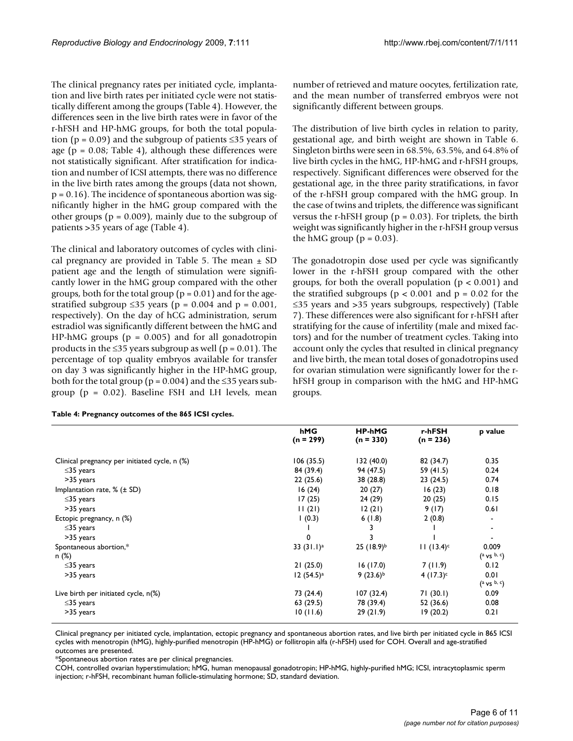The clinical pregnancy rates per initiated cycle, implantation and live birth rates per initiated cycle were not statistically different among the groups (Table 4). However, the differences seen in the live birth rates were in favor of the r-hFSH and HP-hMG groups, for both the total population (p = 0.09) and the subgroup of patients  $\leq$ 35 years of age ( $p = 0.08$ ; Table 4), although these differences were not statistically significant. After stratification for indication and number of ICSI attempts, there was no difference in the live birth rates among the groups (data not shown,  $p = 0.16$ ). The incidence of spontaneous abortion was significantly higher in the hMG group compared with the other groups ( $p = 0.009$ ), mainly due to the subgroup of patients >35 years of age (Table 4).

The clinical and laboratory outcomes of cycles with clinical pregnancy are provided in Table 5. The mean  $\pm$  SD patient age and the length of stimulation were significantly lower in the hMG group compared with the other groups, both for the total group ( $p = 0.01$ ) and for the agestratified subgroup ≤35 years ( $p = 0.004$  and  $p = 0.001$ , respectively). On the day of hCG administration, serum estradiol was significantly different between the hMG and HP-hMG groups ( $p = 0.005$ ) and for all gonadotropin products in the ≤35 years subgroup as well ( $p = 0.01$ ). The percentage of top quality embryos available for transfer on day 3 was significantly higher in the HP-hMG group, both for the total group ( $p = 0.004$ ) and the ≤35 years subgroup ( $p = 0.02$ ). Baseline FSH and LH levels, mean

|  |  |  |  | Table 4: Pregnancy outcomes of the 865 ICSI cycles. |
|--|--|--|--|-----------------------------------------------------|
|--|--|--|--|-----------------------------------------------------|

number of retrieved and mature oocytes, fertilization rate, and the mean number of transferred embryos were not significantly different between groups.

The distribution of live birth cycles in relation to parity, gestational age, and birth weight are shown in Table 6. Singleton births were seen in 68.5%, 63.5%, and 64.8% of live birth cycles in the hMG, HP-hMG and r-hFSH groups, respectively. Significant differences were observed for the gestational age, in the three parity stratifications, in favor of the r-hFSH group compared with the hMG group. In the case of twins and triplets, the difference was significant versus the r-hFSH group ( $p = 0.03$ ). For triplets, the birth weight was significantly higher in the r-hFSH group versus the hMG group ( $p = 0.03$ ).

The gonadotropin dose used per cycle was significantly lower in the r-hFSH group compared with the other groups, for both the overall population ( $p < 0.001$ ) and the stratified subgroups ( $p < 0.001$  and  $p = 0.02$  for the ≤35 years and >35 years subgroups, respectively) (Table 7). These differences were also significant for r-hFSH after stratifying for the cause of infertility (male and mixed factors) and for the number of treatment cycles. Taking into account only the cycles that resulted in clinical pregnancy and live birth, the mean total doses of gonadotropins used for ovarian stimulation were significantly lower for the rhFSH group in comparison with the hMG and HP-hMG groups.

|                                               | hMG<br>$(n = 299)$      | <b>HP-hMG</b><br>$(n = 330)$ | r-hFSH<br>$(n = 236)$ | p value                              |
|-----------------------------------------------|-------------------------|------------------------------|-----------------------|--------------------------------------|
| Clinical pregnancy per initiated cycle, n (%) | 106(35.5)               | 132(40.0)                    | 82 (34.7)             | 0.35                                 |
| $\leq$ 35 years                               | 84 (39.4)               | 94 (47.5)                    | 59 (41.5)             | 0.24                                 |
| >35 years                                     | 22(25.6)                | 38 (28.8)                    | 23(24.5)              | 0.74                                 |
| Implantation rate, $%$ ( $\pm$ SD)            | 16(24)                  | 20(27)                       | 16(23)                | 0.18                                 |
| $\leq$ 35 years                               | 17(25)                  | 24 (29)                      | 20(25)                | 0.15                                 |
| >35 years                                     | 11(21)                  | 12(21)                       | 9(17)                 | 0.61                                 |
| Ectopic pregnancy, n (%)                      | 1(0.3)                  | 6(1.8)                       | 2(0.8)                | $\overline{\phantom{a}}$             |
| $\leq$ 35 years                               |                         |                              |                       | $\overline{\phantom{a}}$             |
| >35 years                                     | 0                       | 3                            |                       | ٠                                    |
| Spontaneous abortion,*<br>n (%)               | 33 $(31.1)^a$           | $25(18.9)^{b}$               | $11 (13.4)^c$         | 0.009<br>$(a \vee s \nb, c)$         |
| $\leq$ 35 years                               | 21(25.0)                | 16(17.0)                     | 7(11.9)               | 0.12                                 |
| >35 years                                     | $12(54.5)$ <sup>a</sup> | $9(23.6)^{b}$                | $4(17.3)^c$           | 0.01<br>$(a \vee s \cdot b \cdot c)$ |
| Live birth per initiated cycle, $n(\%)$       | 73 (24.4)               | 107(32.4)                    | 71(30.1)              | 0.09                                 |
| $\leq$ 35 years                               | 63(29.5)                | 78 (39.4)                    | 52 (36.6)             | 0.08                                 |
| >35 years                                     | 10(11.6)                | 29(21.9)                     | 19(20.2)              | 0.21                                 |

Clinical pregnancy per initiated cycle, implantation, ectopic pregnancy and spontaneous abortion rates, and live birth per initiated cycle in 865 ICSI cycles with menotropin (hMG), highly-purified menotropin (HP-hMG) or follitropin alfa (r-hFSH) used for COH. Overall and age-stratified outcomes are presented.

\*Spontaneous abortion rates are per clinical pregnancies.

COH, controlled ovarian hyperstimulation; hMG, human menopausal gonadotropin; HP-hMG, highly-purified hMG; ICSI, intracytoplasmic sperm injection; r-hFSH, recombinant human follicle-stimulating hormone; SD, standard deviation.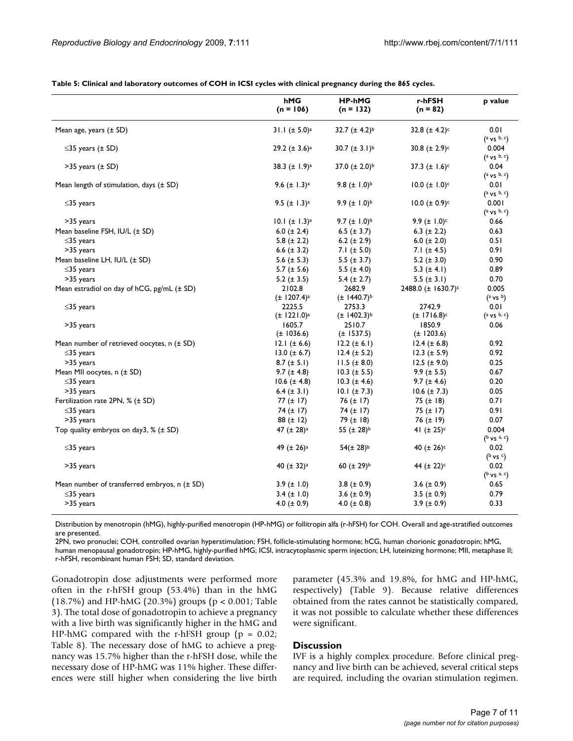| Table 5: Clinical and laboratory outcomes of COH in ICSI cycles with clinical pregnancy during the 865 cycles. |  |  |  |  |
|----------------------------------------------------------------------------------------------------------------|--|--|--|--|
|----------------------------------------------------------------------------------------------------------------|--|--|--|--|

|                                                | hMG<br>$(n = 106)$           | <b>HP-hMG</b><br>$(n = 132)$ | r-hFSH<br>$(n = 82)$           | p value                      |
|------------------------------------------------|------------------------------|------------------------------|--------------------------------|------------------------------|
| Mean age, years $(\pm SD)$                     | 31.1 $(\pm 5.0)^a$           | 32.7 $(\pm 4.2)^{b}$         | 32.8 $(\pm 4.2)^c$             | 0.01                         |
|                                                |                              |                              |                                | $(a \vee s \nb, c)$          |
| $\leq$ 35 years ( $\pm$ SD)                    | 29.2 $(\pm 3.6)^a$           | 30.7 $(\pm 3.1)^{b}$         | 30.8 $(\pm 2.9)^c$             | 0.004                        |
|                                                |                              |                              |                                | $(a \vee s \cdot b \cdot c)$ |
| $>35$ years ( $\pm$ SD)                        | 38.3 $(\pm 1.9)^a$           | 37.0 $(\pm 2.0)^{b}$         | 37.3 $(\pm 1.6)^c$             | 0.04                         |
|                                                |                              |                              |                                | $(a \vee s \nb, c)$          |
| Mean length of stimulation, days (± SD)        | 9.6 $(\pm$ 1.3) <sup>a</sup> | 9.8 $(\pm 1.0)^{b}$          | $10.0 \ (\pm 1.0)^c$           | 0.01                         |
|                                                |                              |                              |                                | $(a \vee s \cdot b \cdot c)$ |
| $\leq$ 35 years                                | 9.5 $(\pm$ 1.3) <sup>a</sup> | 9.9 $(\pm 1.0)^{b}$          | 10.0 ( $\pm$ 0.9) $\circ$      | 0.001                        |
|                                                |                              |                              |                                | $(a \vee s \cdot b \cdot c)$ |
| >35 years                                      | 10.1 $(\pm 1.3)^a$           | 9.7 $(\pm 1.0)^{b}$          | 9.9 $(\pm 1.0)^c$              | 0.66                         |
| Mean baseline FSH, IU/L (± SD)                 | 6.0 $(\pm 2.4)$              | 6.5 $(\pm 3.7)$              | 6.3 ( $\pm$ 2.2)               | 0.63                         |
| $\leq$ 35 years                                | 5.8 $(\pm 2.2)$              | 6.2 $(\pm 2.9)$              | 6.0 $(\pm 2.0)$                | 0.51                         |
| >35 years                                      | 6.6 $(\pm 3.2)$              | 7.1 $(\pm 5.0)$              | 7.1 $(\pm 4.5)$                | 0.91                         |
| Mean baseline LH, IU/L (± SD)                  | 5.6 $(\pm 5.3)$              | 5.5 $(\pm 3.7)$              | 5.2 $(\pm 3.0)$                | 0.90                         |
| $\leq$ 35 years                                | 5.7 $(\pm 5.6)$              | 5.5 $(\pm 4.0)$              | 5.3 $(\pm 4.1)$                | 0.89                         |
| >35 years                                      | 5.2 ( $\pm$ 3.5)             | 5.4 $(\pm 2.7)$              | 5.5 $(\pm 3.1)$                | 0.70                         |
| Mean estradiol on day of hCG, pg/mL (± SD)     | 2102.8                       | 2682.9                       | 2488.0 (± 1630.7) <sup>c</sup> | 0.005                        |
|                                                | $(\pm 1207.4)^a$             | $(\pm 1440.7)^{b}$           |                                | $(^{a}$ vs $^{b})$           |
| $\leq$ 35 years                                | 2225.5                       | 2753.3                       | 2742.9                         | 0.01                         |
|                                                | $(\pm 1221.0)^a$             | $(\pm 1402.3)^{b}$           | $(\pm 1716.8)^c$               | $(a \vee s \cdot b, c)$      |
| >35 years                                      | 1605.7                       | 2510.7                       | 1850.9                         | 0.06                         |
|                                                | $(\pm 1036.6)$               | $(\pm 1537.5)$               | $(\pm 1203.6)$                 |                              |
| Mean number of retrieved oocytes, $n (± SD)$   | 12.1 $(\pm 6.6)$             | $12.2 (\pm 6.1)$             | $12.4 (\pm 6.8)$               | 0.92                         |
| $\leq$ 35 years                                | $13.0 (\pm 6.7)$             | $12.4 (\pm 5.2)$             | $12.3 (\pm 5.9)$               | 0.92                         |
| >35 years                                      | $8.7 (\pm 5.1)$              | $11.5 (\pm 8.0)$             | $12.5 (\pm 9.0)$               | 0.25                         |
| Mean MII oocytes, n (± SD)                     | $9.7 (\pm 4.8)$              | $10.3 (\pm 5.5)$             | $9.9 (\pm 5.5)$                | 0.67                         |
| $\leq$ 35 years                                | $10.6 (\pm 4.8)$             | $10.3 (\pm 4.6)$             | $9.7 (\pm 4.6)$                | 0.20                         |
| >35 years                                      | 6.4 $(\pm 3.1)$              | $10.1 (\pm 7.3)$             | $10.6 (\pm 7.3)$               | 0.05                         |
| Fertilization rate 2PN, % (± SD)               | 77 $(\pm$ 17)                | 76 $(\pm$ 17)                | 75 $(\pm 18)$                  | 0.71                         |
| $\leq$ 35 years                                | 74 $(\pm$ 17)                | 74 $(\pm$ 17)                | 75 $(\pm$ 17)                  | 0.91                         |
| >35 years                                      | 88 $(\pm 12)$                | 79 $(\pm 18)$                | 76 $(\pm 19)$                  | 0.07                         |
| Top quality embryos on day3, $%$ ( $\pm$ SD)   | 47 $(\pm 28)^a$              | 55 ( $\pm$ 28) <sup>b</sup>  | 41 $(\pm 25)^c$                | 0.004                        |
|                                                |                              |                              |                                | $(b \vee s^a, c)$            |
| $\leq$ 35 years                                | 49 (± 26) <sup>a</sup>       | $54(\pm 28)^{b}$             | 40 $(\pm 26)^c$                | 0.02                         |
|                                                |                              |                              |                                | $(^{b}$ vs $c)$              |
| >35 years                                      | 40 $(\pm 32)^a$              | 60 $(\pm 29)^{b}$            | 44 (± 22) <sup>c</sup>         | 0.02                         |
|                                                |                              |                              |                                | $(^{b}$ vs $^{a, c})$        |
| Mean number of transferred embryos, $n (± SD)$ | $3.9 (\pm 1.0)$              | 3.8 ( $\pm$ 0.9)             | 3.6 $(\pm 0.9)$                | 0.65                         |
| $\leq$ 35 years                                | $3.4 (\pm 1.0)$              | 3.6 $(\pm 0.9)$              | $3.5 (\pm 0.9)$                | 0.79                         |
| >35 years                                      | 4.0 ( $\pm$ 0.9)             | 4.0 ( $\pm$ 0.8)             | $3.9 (\pm 0.9)$                | 0.33                         |
|                                                |                              |                              |                                |                              |

Distribution by menotropin (hMG), highly-purified menotropin (HP-hMG) or follitropin alfa (r-hFSH) for COH. Overall and age-stratified outcomes are presented.

2PN, two pronuclei; COH, controlled ovarian hyperstimulation; FSH, follicle-stimulating hormone; hCG, human chorionic gonadotropin; hMG, human menopausal gonadotropin; HP-hMG, highly-purified hMG; ICSI, intracytoplasmic sperm injection; LH, luteinizing hormone; MII, metaphase II; r-hFSH, recombinant human FSH; SD, standard deviation.

Gonadotropin dose adjustments were performed more often in the r-hFSH group (53.4%) than in the hMG (18.7%) and HP-hMG (20.3%) groups (p < 0.001; Table 3). The total dose of gonadotropin to achieve a pregnancy with a live birth was significantly higher in the hMG and HP-hMG compared with the r-hFSH group ( $p = 0.02$ ; Table 8). The necessary dose of hMG to achieve a pregnancy was 15.7% higher than the r-hFSH dose, while the necessary dose of HP-hMG was 11% higher. These differences were still higher when considering the live birth parameter (45.3% and 19.8%, for hMG and HP-hMG, respectively) (Table 9). Because relative differences obtained from the rates cannot be statistically compared, it was not possible to calculate whether these differences were significant.

# **Discussion**

IVF is a highly complex procedure. Before clinical pregnancy and live birth can be achieved, several critical steps are required, including the ovarian stimulation regimen.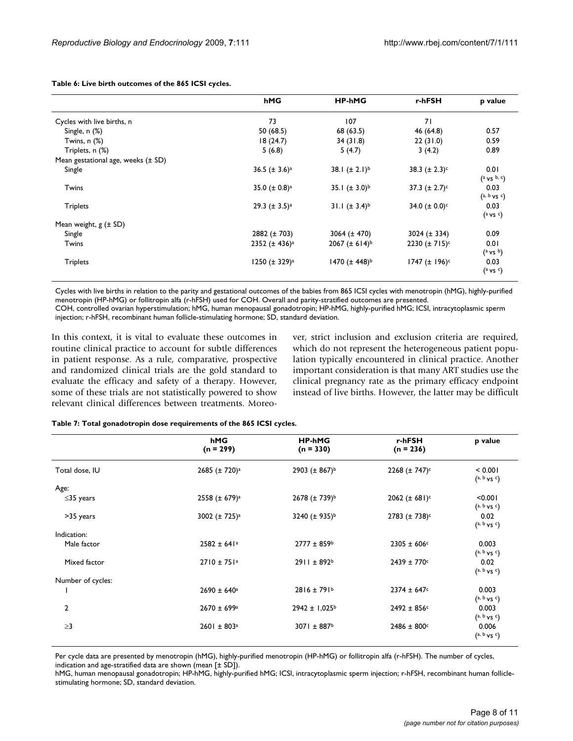| Table 6: Live birth outcomes of the 865 ICSI cycles. |     |
|------------------------------------------------------|-----|
|                                                      | hMG |

|                                        | hMG                            | <b>HP-hMG</b>             | r-hFSH                         | p value                     |
|----------------------------------------|--------------------------------|---------------------------|--------------------------------|-----------------------------|
| Cycles with live births, n             | 73                             | 107                       | 71                             |                             |
| Single, n (%)                          | 50 (68.5)                      | 68 (63.5)                 | 46 (64.8)                      | 0.57                        |
| Twins, $n$ $(\%)$                      | 18(24.7)                       | 34(31.8)                  | 22(31.0)                       | 0.59                        |
| Triplets, n (%)                        | 5(6.8)                         | 5(4.7)                    | 3(4.2)                         | 0.89                        |
| Mean gestational age, weeks $(\pm SD)$ |                                |                           |                                |                             |
| Single                                 | 36.5 ( $\pm$ 3.6) <sup>a</sup> | 38.1 $(\pm 2.1)^{b}$      | 38.3 $(\pm 2.3)^c$             | 0.01<br>$(a \vee s \nb, c)$ |
| Twins                                  | 35.0 ( $\pm$ 0.8) <sup>a</sup> | 35.1 $(\pm 3.0)^{b}$      | 37.3 $(\pm 2.7)^c$             | 0.03<br>$(a, b, \vee s, c)$ |
| <b>Triplets</b>                        | 29.3 $(\pm 3.5)^a$             | 31.1 $(\pm 3.4)^{b}$      | 34.0 ( $\pm$ 0.0) <sup>c</sup> | 0.03<br>$(a \vee s \circ)$  |
| Mean weight, $g$ ( $\pm$ SD)           |                                |                           |                                |                             |
| Single                                 | $2882 (\pm 703)$               | 3064 $(\pm 470)$          | $3024 (\pm 334)$               | 0.09                        |
| Twins                                  | 2352 ( $\pm$ 436) <sup>a</sup> | $2067 (\pm 614)^{b}$      | $2230 (\pm 715)^c$             | 0.01<br>$(^a$ vs $^b)$      |
| <b>Triplets</b>                        | 1250 $(\pm 329)^a$             | 1470 (± 448) <sup>b</sup> | 1747 ( $\pm$ 196) <sup>c</sup> | 0.03<br>$(^{a}$ vs $c)$     |

Cycles with live births in relation to the parity and gestational outcomes of the babies from 865 ICSI cycles with menotropin (hMG), highly-purified menotropin (HP-hMG) or follitropin alfa (r-hFSH) used for COH. Overall and parity-stratified outcomes are presented. COH, controlled ovarian hyperstimulation; hMG, human menopausal gonadotropin; HP-hMG, highly-purified hMG; ICSI, intracytoplasmic sperm injection; r-hFSH, recombinant human follicle-stimulating hormone; SD, standard deviation.

In this context, it is vital to evaluate these outcomes in routine clinical practice to account for subtle differences in patient response. As a rule, comparative, prospective and randomized clinical trials are the gold standard to evaluate the efficacy and safety of a therapy. However, some of these trials are not statistically powered to show relevant clinical differences between treatments. Moreover, strict inclusion and exclusion criteria are required, which do not represent the heterogeneous patient population typically encountered in clinical practice. Another important consideration is that many ART studies use the clinical pregnancy rate as the primary efficacy endpoint instead of live births. However, the latter may be difficult

|                   | hMG<br>$(n = 299)$             | <b>HP-hMG</b><br>$(n = 330)$   | r-hFSH<br>$(n = 236)$          | p value                        |
|-------------------|--------------------------------|--------------------------------|--------------------------------|--------------------------------|
| Total dose, IU    | 2685 $(\pm 720)^a$             | 2903 ( $\pm$ 867) <sup>b</sup> | $2268 (\pm 747)^c$             | < 0.001<br>$(a, b, \vee s, c)$ |
| Age:              |                                |                                |                                |                                |
| $\leq$ 35 years   | 2558 ( $\pm$ 679) <sup>a</sup> | $2678 (\pm 739)^{b}$           | 2062 ( $\pm$ 681) <sup>c</sup> | < 0.001<br>$(a, b \vee s^c)$   |
| >35 years         | 3002 (± 725) <sup>a</sup>      | 3240 $(\pm 935)^{b}$           | $2783 (\pm 738)^c$             | 0.02<br>$(a, b \vee s^c)$      |
| Indication:       |                                |                                |                                |                                |
| Male factor       | $2582 \pm 641$ <sup>a</sup>    | $2777 \pm 859$ <sup>b</sup>    | $2305 \pm 606$ c               | 0.003<br>$(a, b, \vee s, c)$   |
| Mixed factor      | $2710 \pm 751$ <sup>a</sup>    | $2911 \pm 892$ <sup>b</sup>    | $2439 \pm 770$ c               | 0.02<br>$(a, b, \vee s, c)$    |
| Number of cycles: |                                |                                |                                |                                |
|                   | $2690 \pm 640^{\circ}$         | $2816 \pm 791$ <sup>b</sup>    | $2374 \pm 647$ c               | 0.003<br>$(a, b, \nu s)$       |
| $\overline{2}$    | $2670 \pm 699$ <sup>a</sup>    | $2942 \pm 1,025^{\circ}$       | $2492 \pm 856$ c               | 0.003<br>$(a, b, \nu s)$       |
| $\geq$ 3          | $2601 \pm 803$ <sup>a</sup>    | 3071 ± 887 <sup>b</sup>        | $2486 \pm 800$ c               | 0.006<br>$(a, b \vee s c)$     |

**Table 7: Total gonadotropin dose requirements of the 865 ICSI cycles.**

Per cycle data are presented by menotropin (hMG), highly-purified menotropin (HP-hMG) or follitropin alfa (r-hFSH). The number of cycles, indication and age-stratified data are shown (mean [± SD]).

hMG, human menopausal gonadotropin; HP-hMG, highly-purified hMG; ICSI, intracytoplasmic sperm injection; r-hFSH, recombinant human folliclestimulating hormone; SD, standard deviation.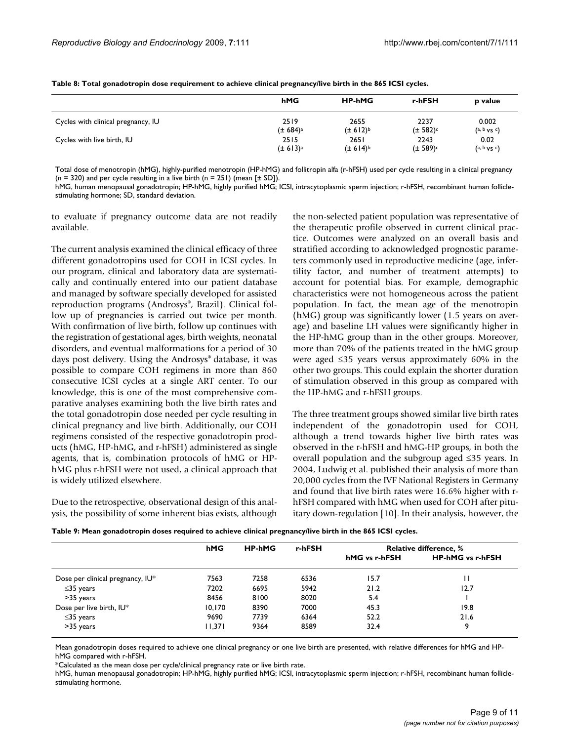|                                    | hMG                  | <b>HP-hMG</b>        | r-hFSH        | p value             |
|------------------------------------|----------------------|----------------------|---------------|---------------------|
| Cycles with clinical pregnancy, IU | 2519                 | 2655                 | 2237          | 0.002               |
|                                    | (± 684) <sup>a</sup> | (± 612) <sup>b</sup> | $(\pm 582)^c$ | $(a, b, \vee s, c)$ |
| Cycles with live birth, IU         | 2515                 | 2651                 | 2243          | 0.02                |
|                                    | (± 613) <sup>a</sup> | $(\pm 614)^{b}$      | $(\pm 589)^c$ | $(a, b, \vee s, c)$ |

**Table 8: Total gonadotropin dose requirement to achieve clinical pregnancy/live birth in the 865 ICSI cycles.**

Total dose of menotropin (hMG), highly-purified menotropin (HP-hMG) and follitropin alfa (r-hFSH) used per cycle resulting in a clinical pregnancy  $(n = 320)$  and per cycle resulting in a live birth  $(n = 251)$  (mean  $[\pm SD]$ ).

hMG, human menopausal gonadotropin; HP-hMG, highly purified hMG; ICSI, intracytoplasmic sperm injection; r-hFSH, recombinant human folliclestimulating hormone; SD, standard deviation.

to evaluate if pregnancy outcome data are not readily available.

The current analysis examined the clinical efficacy of three different gonadotropins used for COH in ICSI cycles. In our program, clinical and laboratory data are systematically and continually entered into our patient database and managed by software specially developed for assisted reproduction programs (Androsys®, Brazil). Clinical follow up of pregnancies is carried out twice per month. With confirmation of live birth, follow up continues with the registration of gestational ages, birth weights, neonatal disorders, and eventual malformations for a period of 30 days post delivery. Using the Androsys® database, it was possible to compare COH regimens in more than 860 consecutive ICSI cycles at a single ART center. To our knowledge, this is one of the most comprehensive comparative analyses examining both the live birth rates and the total gonadotropin dose needed per cycle resulting in clinical pregnancy and live birth. Additionally, our COH regimens consisted of the respective gonadotropin products (hMG, HP-hMG, and r-hFSH) administered as single agents, that is, combination protocols of hMG or HPhMG plus r-hFSH were not used, a clinical approach that is widely utilized elsewhere.

Due to the retrospective, observational design of this analysis, the possibility of some inherent bias exists, although the non-selected patient population was representative of the therapeutic profile observed in current clinical practice. Outcomes were analyzed on an overall basis and stratified according to acknowledged prognostic parameters commonly used in reproductive medicine (age, infertility factor, and number of treatment attempts) to account for potential bias. For example, demographic characteristics were not homogeneous across the patient population. In fact, the mean age of the menotropin (hMG) group was significantly lower (1.5 years on average) and baseline LH values were significantly higher in the HP-hMG group than in the other groups. Moreover, more than 70% of the patients treated in the hMG group were aged ≤35 years versus approximately 60% in the other two groups. This could explain the shorter duration of stimulation observed in this group as compared with the HP-hMG and r-hFSH groups.

The three treatment groups showed similar live birth rates independent of the gonadotropin used for COH, although a trend towards higher live birth rates was observed in the r-hFSH and hMG-HP groups, in both the overall population and the subgroup aged ≤35 years. In 2004, Ludwig et al. published their analysis of more than 20,000 cycles from the IVF National Registers in Germany and found that live birth rates were 16.6% higher with rhFSH compared with hMG when used for COH after pituitary down-regulation [10]. In their analysis, however, the

|  |  |  | Table 9: Mean gonadotropin doses required to achieve clinical pregnancy/live birth in the 865 ICSI cycles. |  |
|--|--|--|------------------------------------------------------------------------------------------------------------|--|
|  |  |  |                                                                                                            |  |

|                                  | hMG    | <b>HP-hMG</b> | r-hFSH | <b>Relative difference, %</b> |                         |  |
|----------------------------------|--------|---------------|--------|-------------------------------|-------------------------|--|
|                                  |        |               |        | hMG vs r-hFSH                 | <b>HP-hMG vs r-hFSH</b> |  |
| Dose per clinical pregnancy, IU* | 7563   | 7258          | 6536   | 15.7                          |                         |  |
| $\leq$ 35 years                  | 7202   | 6695          | 5942   | 21.2                          | 12.7                    |  |
| >35 years                        | 8456   | 8100          | 8020   | 5.4                           |                         |  |
| Dose per live birth, IU*         | 10.170 | 8390          | 7000   | 45.3                          | 19.8                    |  |
| $\leq$ 35 years                  | 9690   | 7739          | 6364   | 52.2                          | 21.6                    |  |
| >35 years                        | 11.371 | 9364          | 8589   | 32.4                          | 9                       |  |

Mean gonadotropin doses required to achieve one clinical pregnancy or one live birth are presented, with relative differences for hMG and HPhMG compared with r-hFSH.

\*Calculated as the mean dose per cycle/clinical pregnancy rate or live birth rate.

hMG, human menopausal gonadotropin; HP-hMG, highly purified hMG; ICSI, intracytoplasmic sperm injection; r-hFSH, recombinant human folliclestimulating hormone.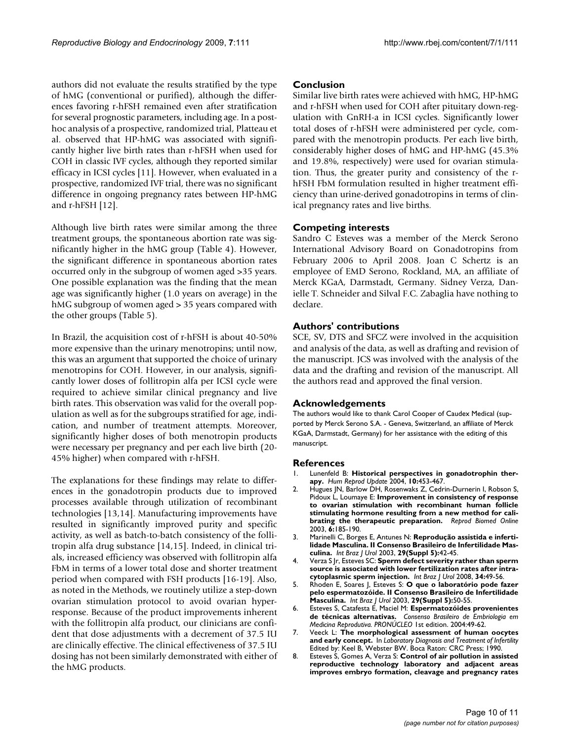authors did not evaluate the results stratified by the type of hMG (conventional or purified), although the differences favoring r-hFSH remained even after stratification for several prognostic parameters, including age. In a posthoc analysis of a prospective, randomized trial, Platteau et al. observed that HP-hMG was associated with significantly higher live birth rates than r-hFSH when used for COH in classic IVF cycles, although they reported similar efficacy in ICSI cycles [11]. However, when evaluated in a prospective, randomized IVF trial, there was no significant difference in ongoing pregnancy rates between HP-hMG and r-hFSH [12].

Although live birth rates were similar among the three treatment groups, the spontaneous abortion rate was significantly higher in the hMG group (Table 4). However, the significant difference in spontaneous abortion rates occurred only in the subgroup of women aged >35 years. One possible explanation was the finding that the mean age was significantly higher (1.0 years on average) in the hMG subgroup of women aged > 35 years compared with the other groups (Table 5).

In Brazil, the acquisition cost of r-hFSH is about 40-50% more expensive than the urinary menotropins; until now, this was an argument that supported the choice of urinary menotropins for COH. However, in our analysis, significantly lower doses of follitropin alfa per ICSI cycle were required to achieve similar clinical pregnancy and live birth rates. This observation was valid for the overall population as well as for the subgroups stratified for age, indication, and number of treatment attempts. Moreover, significantly higher doses of both menotropin products were necessary per pregnancy and per each live birth (20- 45% higher) when compared with r-hFSH.

The explanations for these findings may relate to differences in the gonadotropin products due to improved processes available through utilization of recombinant technologies [13,14]. Manufacturing improvements have resulted in significantly improved purity and specific activity, as well as batch-to-batch consistency of the follitropin alfa drug substance [14,15]. Indeed, in clinical trials, increased efficiency was observed with follitropin alfa FbM in terms of a lower total dose and shorter treatment period when compared with FSH products [16-19]. Also, as noted in the Methods, we routinely utilize a step-down ovarian stimulation protocol to avoid ovarian hyperresponse. Because of the product improvements inherent with the follitropin alfa product, our clinicians are confident that dose adjustments with a decrement of 37.5 IU are clinically effective. The clinical effectiveness of 37.5 IU dosing has not been similarly demonstrated with either of the hMG products.

# **Conclusion**

Similar live birth rates were achieved with hMG, HP-hMG and r-hFSH when used for COH after pituitary down-regulation with GnRH-a in ICSI cycles. Significantly lower total doses of r-hFSH were administered per cycle, compared with the menotropin products. Per each live birth, considerably higher doses of hMG and HP-hMG (45.3% and 19.8%, respectively) were used for ovarian stimulation. Thus, the greater purity and consistency of the rhFSH FbM formulation resulted in higher treatment efficiency than urine-derived gonadotropins in terms of clinical pregnancy rates and live births.

# **Competing interests**

Sandro C Esteves was a member of the Merck Serono International Advisory Board on Gonadotropins from February 2006 to April 2008. Joan C Schertz is an employee of EMD Serono, Rockland, MA, an affiliate of Merck KGaA, Darmstadt, Germany. Sidney Verza, Danielle T. Schneider and Silval F.C. Zabaglia have nothing to declare.

# **Authors' contributions**

SCE, SV, DTS and SFCZ were involved in the acquisition and analysis of the data, as well as drafting and revision of the manuscript. JCS was involved with the analysis of the data and the drafting and revision of the manuscript. All the authors read and approved the final version.

# **Acknowledgements**

The authors would like to thank Carol Cooper of Caudex Medical (supported by Merck Serono S.A. - Geneva, Switzerland, an affiliate of Merck KGaA, Darmstadt, Germany) for her assistance with the editing of this manuscript.

# **References**

- Lunenfeld B: [Historical perspectives in gonadotrophin ther](http://www.ncbi.nlm.nih.gov/entrez/query.fcgi?cmd=Retrieve&db=PubMed&dopt=Abstract&list_uids=15388674)**[apy.](http://www.ncbi.nlm.nih.gov/entrez/query.fcgi?cmd=Retrieve&db=PubMed&dopt=Abstract&list_uids=15388674)** *Hum Reprod Update* 2004, **10:**453-467.
- 2. Hugues JN, Barlow DH, Rosenwaks Z, Cedrin-Durnerin I, Robson S, Pidoux L, Loumaye E: **[Improvement in consistency of response](http://www.ncbi.nlm.nih.gov/entrez/query.fcgi?cmd=Retrieve&db=PubMed&dopt=Abstract&list_uids=12675998) [to ovarian stimulation with recombinant human follicle](http://www.ncbi.nlm.nih.gov/entrez/query.fcgi?cmd=Retrieve&db=PubMed&dopt=Abstract&list_uids=12675998) stimulating hormone resulting from a new method for cali[brating the therapeutic preparation.](http://www.ncbi.nlm.nih.gov/entrez/query.fcgi?cmd=Retrieve&db=PubMed&dopt=Abstract&list_uids=12675998)** *Reprod Biomed Online* 2003, **6:**185-190.
- 3. Marinelli C, Borges E, Antunes N: **Reprodução assistida e infertilidade Masculina. II Consenso Brasileiro de Infertilidade Masculina.** *Int Braz J Urol* 2003, **29(Suppl 5):**42-45.
- 4. Verza S Jr, Esteves SC: **[Sperm defect severity rather than sperm](http://www.ncbi.nlm.nih.gov/entrez/query.fcgi?cmd=Retrieve&db=PubMed&dopt=Abstract&list_uids=18341721) [source is associated with lower fertilization rates after intra](http://www.ncbi.nlm.nih.gov/entrez/query.fcgi?cmd=Retrieve&db=PubMed&dopt=Abstract&list_uids=18341721)[cytoplasmic sperm injection.](http://www.ncbi.nlm.nih.gov/entrez/query.fcgi?cmd=Retrieve&db=PubMed&dopt=Abstract&list_uids=18341721)** *Int Braz J Urol* 2008, **34:**49-56.
- 5. Rhoden E, Soares J, Esteves S: **O que o laboratório pode fazer pelo espermatozóide. II Consenso Brasileiro de Infertilidade Masculina.** *Int Braz J Urol* 2003, **29(Suppl 5):**50-55.
- 6. Esteves S, Catafesta E, Maciel M: **Espermatozóides provenientes de técnicas alternativas.** *Consenso Brasileiro de Embriologia em Medicina Reprodutiva. PRONÚCLEO* 1st edition. 2004:49-62.
- 7. Veeck L: **The morphological assessment of human oocytes and early concept.** In *Laboratory Diagnosis and Treatment of Infertility* Edited by: Keel B, Webster BW. Boca Raton: CRC Press; 1990.
- 8. Esteves S, Gomes A, Verza S: **Control of air pollution in assisted reproductive technology laboratory and adjacent areas improves embryo formation, cleavage and pregnancy rates**